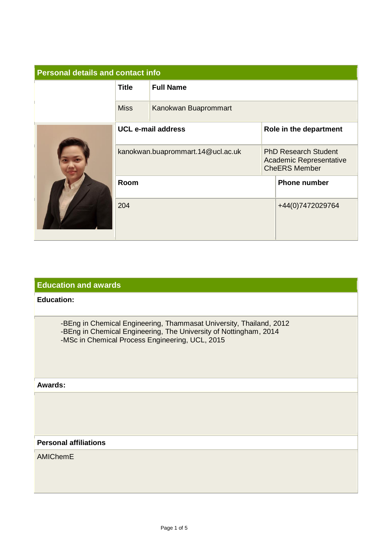| <b>Personal details and contact info</b> |                                   |                      |                                                                                |                        |  |
|------------------------------------------|-----------------------------------|----------------------|--------------------------------------------------------------------------------|------------------------|--|
|                                          | <b>Title</b>                      | <b>Full Name</b>     |                                                                                |                        |  |
|                                          | <b>Miss</b>                       | Kanokwan Buaprommart |                                                                                |                        |  |
|                                          | <b>UCL e-mail address</b>         |                      |                                                                                | Role in the department |  |
|                                          | kanokwan.buaprommart.14@ucl.ac.uk |                      | <b>PhD Research Student</b><br>Academic Representative<br><b>CheERS Member</b> |                        |  |
|                                          | Room                              |                      | <b>Phone number</b>                                                            |                        |  |
|                                          | 204                               |                      | +44(0)7472029764                                                               |                        |  |

## **Education and awards**

## **Education:**

-BEng in Chemical Engineering, Thammasat University, Thailand, 2012 -BEng in Chemical Engineering, The University of Nottingham, 2014 -MSc in Chemical Process Engineering, UCL, 2015

### **Awards:**

### **Personal affiliations**

AMIChemE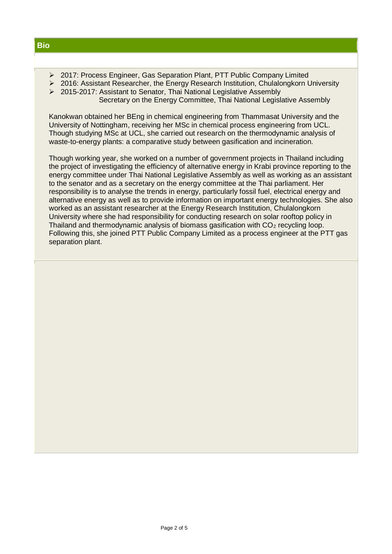- ➢ 2017: Process Engineer, Gas Separation Plant, PTT Public Company Limited
- ➢ 2016: Assistant Researcher, the Energy Research Institution, Chulalongkorn University
- ➢ 2015-2017: Assistant to Senator, Thai National Legislative Assembly Secretary on the Energy Committee, Thai National Legislative Assembly

Kanokwan obtained her BEng in chemical engineering from Thammasat University and the University of Nottingham, receiving her MSc in chemical process engineering from UCL. Though studying MSc at UCL, she carried out research on the thermodynamic analysis of waste-to-energy plants: a comparative study between gasification and incineration.

Though working year, she worked on a number of government projects in Thailand including the project of investigating the efficiency of alternative energy in Krabi province reporting to the energy committee under Thai National Legislative Assembly as well as working as an assistant to the senator and as a secretary on the energy committee at the Thai parliament. Her responsibility is to analyse the trends in energy, particularly fossil fuel, electrical energy and alternative energy as well as to provide information on important energy technologies. She also worked as an assistant researcher at the Energy Research Institution, Chulalongkorn University where she had responsibility for conducting research on solar rooftop policy in Thailand and thermodynamic analysis of biomass gasification with  $CO<sub>2</sub>$  recycling loop. Following this, she joined PTT Public Company Limited as a process engineer at the PTT gas separation plant.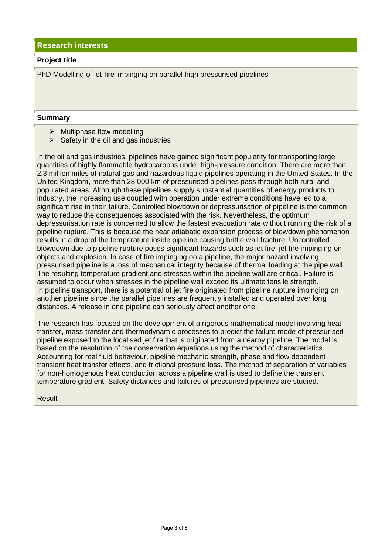**Research interests**

#### **Project title**

PhD Modelling of jet-fire impinging on parallel high pressurised pipelines

#### **Summary**

- ➢ Multiphase flow modelling
- $\triangleright$  Safety in the oil and gas industries

In the oil and gas industries, pipelines have gained significant popularity for transporting large quantities of highly flammable hydrocarbons under high-pressure condition. There are more than 2.3 million miles of natural gas and hazardous liquid pipelines operating in the United States. In the United Kingdom, more than 28,000 km of pressurised pipelines pass through both rural and populated areas. Although these pipelines supply substantial quantities of energy products to industry, the increasing use coupled with operation under extreme conditions have led to a significant rise in their failure. Controlled blowdown or depressurisation of pipeline is the common way to reduce the consequences associated with the risk. Nevertheless, the optimum depressurisation rate is concerned to allow the fastest evacuation rate without running the risk of a pipeline rupture. This is because the near adiabatic expansion process of blowdown phenomenon results in a drop of the temperature inside pipeline causing brittle wall fracture. Uncontrolled blowdown due to pipeline rupture poses significant hazards such as jet fire, jet fire impinging on objects and explosion. In case of fire impinging on a pipeline, the major hazard involving pressurised pipeline is a loss of mechanical integrity because of thermal loading at the pipe wall. The resulting temperature gradient and stresses within the pipeline wall are critical. Failure is assumed to occur when stresses in the pipeline wall exceed its ultimate tensile strength. In pipeline transport, there is a potential of jet fire originated from pipeline rupture impinging on another pipeline since the parallel pipelines are frequently installed and operated over long distances. A release in one pipeline can seriously affect another one.

The research has focused on the development of a rigorous mathematical model involving heattransfer, mass-transfer and thermodynamic processes to predict the failure mode of pressurised pipeline exposed to the localised jet fire that is originated from a nearby pipeline. The model is based on the resolution of the conservation equations using the method of characteristics. Accounting for real fluid behaviour, pipeline mechanic strength, phase and flow dependent transient heat transfer effects, and frictional pressure loss. The method of separation of variables for non-homogenous heat conduction across a pipeline wall is used to define the transient temperature gradient. Safety distances and failures of pressurised pipelines are studied.

Result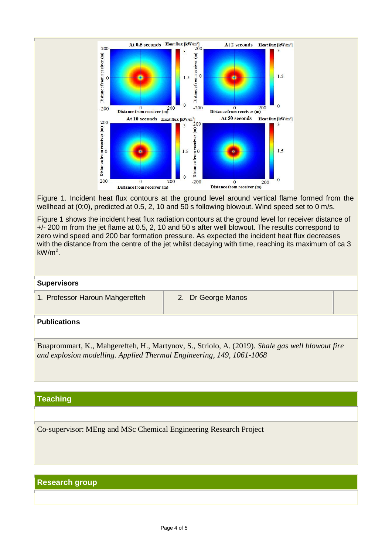

Figure 1. Incident heat flux contours at the ground level around vertical flame formed from the wellhead at (0;0), predicted at 0.5, 2, 10 and 50 s following blowout. Wind speed set to 0 m/s.

Figure 1 shows the incident heat flux radiation contours at the ground level for receiver distance of +/- 200 m from the jet flame at 0.5, 2, 10 and 50 s after well blowout. The results correspond to zero wind speed and 200 bar formation pressure. As expected the incident heat flux decreases with the distance from the centre of the jet whilst decaying with time, reaching its maximum of ca 3 kW/m<sup>2</sup> .

#### **Supervisors**

1. Professor Haroun Mahgerefteh 2. Dr George Manos

## **Publications**

Buaprommart, K., Mahgerefteh, H., Martynov, S., Striolo, A. (2019). *Shale gas well blowout fire and explosion modelling. Applied Thermal Engineering, 149, 1061-1068* 

# **Teaching**

Co-supervisor: MEng and MSc Chemical Engineering Research Project

# **Research group**